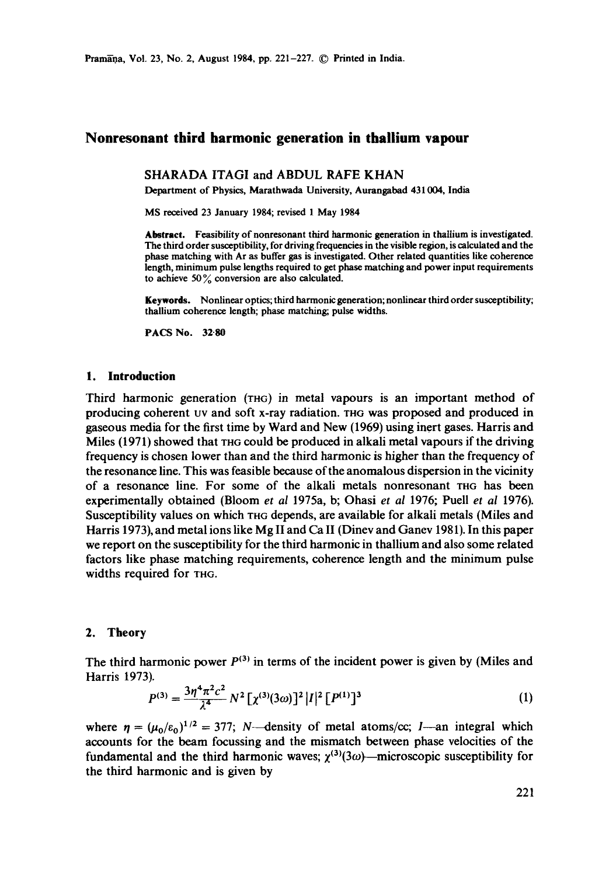# **Nonresonant third harmonic generation in thallium vapour**

# SHARADA ITAGI and ABDUL RAFE KHAN

Department of Physics, Maratbwada University, Aurangabad 431004, India

MS received 23 January 1984; revised 1 May 1984

**Abstract.** Feasibility of nonresonant third harmonic generation in thallium is investigated. The third order susceptibility, for driving frequencies in the visible region, is calculated and the phase matching with Ar as buffer gas is investigated. Other related quantities like coherence length, minimum pulse lengths required to get phase matching and power input requirements to achieve 50 $\frac{9}{6}$  conversion are also calculated.

Keywords. Nonlinear optics; third harmonic generation; nonlinear third order susceptibility; thallium coherence length; phase matching; pulse widths.

**PACS No. 32.80** 

#### **1. Introduction**

Third harmonic generation (rHc) in metal vapours is an important method of producing coherent uv and soft x-ray radiation, xnG was proposed and produced in gaseous media for the first time by Ward and New (1969) using inert gases. Harris and Miles  $(1971)$  showed that the could be produced in alkali metal vapours if the driving frequency is chosen lower than and the third harmonic is higher than the frequency of the resonance line. This was feasible because of the anomalous dispersion in the vicinity of a resonance line. For some of the alkali metals nonresonant xnG has been experimentally obtained (Bloom *et al* 1975a, b; Ohasi *et al* 1976; Puell *et ai* 1976). Susceptibility values on which THG depends, are available for alkali metals (Miles and Harris 1973), and metal ions like Mg II and Ca II (Dinev and Ganev 1981). In this paper we report on the susceptibility for the third harmonic in thallium and also some related factors like phase matching requirements, coherence length and the minimum pulse widths required for THG.

# 2. Theory

The third harmonic power  $P^{(3)}$  in terms of the incident power is given by (Miles and Harris 1973).

$$
P^{(3)} = \frac{3\eta^4\pi^2c^2}{\lambda^4}N^2\left[\chi^{(3)}(3\omega)\right]^2|I|^2\left[P^{(1)}\right]^3\tag{1}
$$

where  $\eta = (\mu_0/\varepsilon_0)^{1/2} = 377$ ; N--density of metal atoms/cc; I--an integral which accounts for the beam focussing and the mismatch between phase velocities of the fundamental and the third harmonic waves;  $\chi^{(3)}(3\omega)$ —microscopic susceptibility for the third harmonic and is given by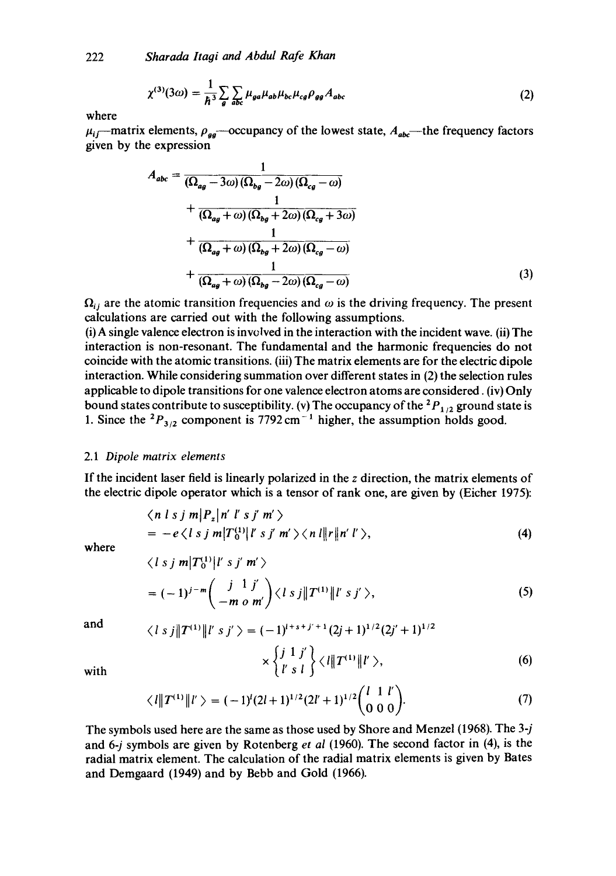$$
\chi^{(3)}(3\omega) = \frac{1}{\hbar^3} \sum_{g} \sum_{abc} \mu_{ga} \mu_{ab} \mu_{bc} \mu_{cg} \rho_{gg} A_{abc}
$$
 (2)

where

 $\mu_{ij}$ —matrix elements,  $\rho_{gg}$ —occupancy of the lowest state,  $A_{abc}$ —the frequency factors given by the expression

$$
A_{abc} = \frac{1}{(\Omega_{ag} - 3\omega)(\Omega_{bg} - 2\omega)(\Omega_{cg} - \omega)}
$$
  
+ 
$$
\frac{1}{(\Omega_{ag} + \omega)(\Omega_{bg} + 2\omega)(\Omega_{cg} + 3\omega)}
$$
  
+ 
$$
\frac{1}{(\Omega_{ag} + \omega)(\Omega_{bg} + 2\omega)(\Omega_{cg} - \omega)}
$$
  
+ 
$$
\frac{1}{(\Omega_{ag} + \omega)(\Omega_{bg} - 2\omega)(\Omega_{cg} - \omega)}
$$
(3)

 $\Omega_{ij}$  are the atomic transition frequencies and  $\omega$  is the driving frequency. The present calculations are carried out with the following assumptions.

(i) A single valence electron is involved in the interaction with the incident wave. (ii) The interaction is non-resonant. The fundamental and the harmonic frequencies do not coincide with the atomic transitions. (iii) The matrix elements are for the electric dipole interaction. While considering summation over different states in (2) the selection rules applicable to dipole transitions for one valence electron atoms are considered. (iv) Only bound states contribute to susceptibility. (v) The occupancy of the  ${}^{2}P_{1/2}$  ground state is 1. Since the  ${}^{2}P_{3/2}$  component is 7792 cm<sup>-1</sup> higher, the assumption holds good.

## 2.1 *Dipole matrix elements*

If the incident laser field is linearly polarized in the z direction, the matrix elements of the electric dipole operator which is a tensor of rank one, are given by (Eicher 1975):

$$
\langle n \mid s \mid j \mid m \mid P_z \mid n' \mid s \mid j' \mid m' \rangle
$$
  
= -e \langle l \mid s \mid j \mid m \mid T\_0^{(1)} \mid l' \mid s \mid j' \mid m' \rangle \langle n \mid l \mid n' \mid l' \rangle, (4)

where

$$
\langle l \, s \, j \, m | T_0^{(1)} | l' \, s \, j' \, m' \rangle
$$
  
= 
$$
(-1)^{j-m} \left( \frac{j}{-m} \frac{1}{\rho} \frac{j'}{m'} \right) \langle l \, s \, j | T^{(1)} | l' \, s \, j' \rangle,
$$
 (5)

and 
$$
\langle l s j || T^{(1)} || l' s j' \rangle = (-1)^{i+s+j'+1} (2j+1)^{1/2} (2j'+1)^{1/2}
$$

with 
$$
\times \left\{ \frac{j}{l'} \frac{1}{s} \frac{j'}{l} \right\} \langle l || T^{(1)} || l' \rangle, \tag{6}
$$

$$
\langle l||T^{(1)}||l'\rangle = (-1)^{l}(2l+1)^{1/2}(2l'+1)^{1/2}\binom{l\ 1\ l'}{0\ 0\ 0}.
$$
 (7)

The symbols used here are the same as those used by Shore and Menzel (1968). The 3-j and 6-j symbols are given by Rotenberg *et al* (1960). The second factor in (4), is the radial matrix element. The calculation of the radial matrix elements is given by Bates and Demgaard (1949) and by Bebb and Gold (1966).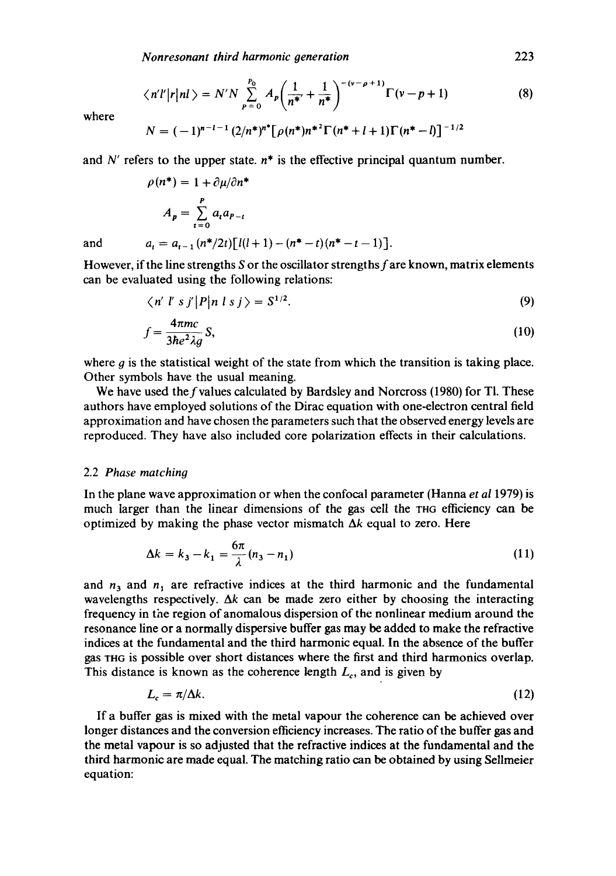$$
\langle n'l'|r|nl\rangle = N'N \sum_{p=0}^{P_0} A_p \bigg(\frac{1}{n^*} + \frac{1}{n^*}\bigg)^{-(v-\rho+1)} \Gamma(v-p+1)
$$
(8)

where

$$
N = (-1)^{n-l-1} (2/n^*)^{n^*} [\rho(n^*) n^{*2} \Gamma(n^* + l + 1) \Gamma(n^* - l)]^{-1/2}
$$

and N' refers to the upper state,  $n^*$  is the effective principal quantum number.

$$
\rho(n^*) = 1 + \frac{\partial \mu}{\partial n^*}
$$
  
\n
$$
A_p = \sum_{t=0}^p a_t a_{p-t}
$$
  
\nand  
\n
$$
a_t = a_{t-1} (n^*/2t) [l(l+1) - (n^* - t)(n^* - t - 1)].
$$

However, if the line strengths S or the oscillator strengths f are known, matrix elements can be evaluated using the following relations:

$$
\langle n' \ l' \ s \ j' | P | n \ l \ s \ j \rangle = S^{1/2}.
$$
 (9)

$$
f = \frac{4\pi mc}{3\hbar e^2 \lambda g} S,\tag{10}
$$

where  $g$  is the statistical weight of the state from which the transition is taking place. Other symbols have the usual meaning.

We have used the  $f$  values calculated by Bardsley and Norcross (1980) for Tl. These authors have employed solutions of the Dirac equation with one-electron central field approximation and have chosen the parameters such that the observed energy levels are reproduced. They have also included core polarization effects in their calculations.

# 2.2 *Phase matching*

In the plane wave approximation or when the confocal parameter (Hanna *et al* 1979) is much larger than the linear dimensions of the gas cell the THG efficiency can be optimized by making the phase vector mismatch  $\Delta k$  equal to zero. Here

$$
\Delta k = k_3 - k_1 = \frac{6\pi}{\lambda} (n_3 - n_1)
$$
 (11)

and  $n_3$  and  $n_1$  are refractive indices at the third harmonic and the fundamental wavelengths respectively.  $\Delta k$  can be made zero either by choosing the interacting frequency in the region of anomalous dispersion of the nonlinear medium around the resonance line or a normally dispersive buffer gas may be added to make the refractive indices at the fundamental and the third harmonic equal. In the absence of the buffer gas XHG is possible over short distances where the first and third harmonics overlap. This distance is known as the coherence length  $L_c$ , and is given by

$$
L_c = \pi/\Delta k. \tag{12}
$$

If a buffer gas is mixed with the metal vapour the coherence can be achieved over longer distances and the conversion efficiency increases. The ratio of the buffer gas and the metal vapour is so adjusted that the refractive indices at the fundamental and the third harmonic are made equal. The matching ratio can be obtained by using Sellmeier equation: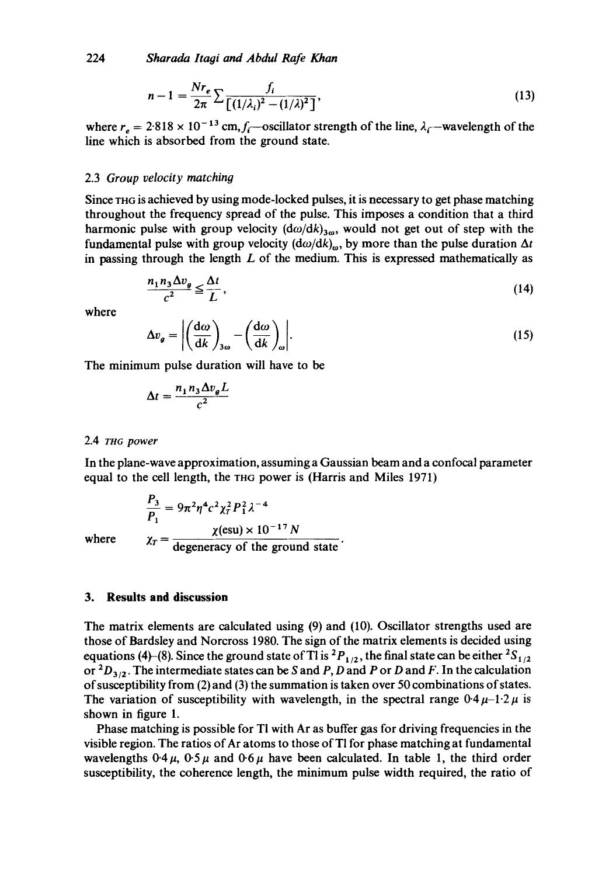224 *Sharada ltaai and Abdul Rafe Khan* 

$$
n-1 = \frac{Nr_e}{2\pi} \sum \frac{f_i}{\left[ (1/\lambda_i)^2 - (1/\lambda)^2 \right]},
$$
\n(13)

where  $r_e = 2.818 \times 10^{-13}$  cm,  $f_i$ —oscillator strength of the line,  $\lambda_i$ —wavelength of the line which is absorbed from the ground state.

#### 2.3 *Group velocity matching*

Since THG is achieved by using mode-locked pulses, it is necessary to get phase matching throughout the frequency spread of the pulse. This imposes a condition that a third harmonic pulse with group velocity  $(d\omega/dk)_{3\omega}$ , would not get out of step with the fundamental pulse with group velocity  $(d\omega/dk)_{\omega}$ , by more than the pulse duration  $\Delta t$ in passing through the length  $L$  of the medium. This is expressed mathematically as

$$
\frac{n_1 n_3 \Delta v_g}{c^2} \le \frac{\Delta t}{L},\tag{14}
$$

where

$$
\Delta v_g = \left| \left( \frac{d\omega}{dk} \right)_{3\omega} - \left( \frac{d\omega}{dk} \right)_{\omega} \right|.
$$
 (15)

The minimum pulse duration will have to be

$$
\Delta t = \frac{n_1 n_3 \Delta v_g L}{c^2}
$$

### 2.4 rH~ *power*

In the plane-wave approximation, assuming a Gaussian beam and a confocal parameter equal to the cell length, the THG power is (Harris and Miles 1971)

$$
\frac{P_3}{P_1} = 9\pi^2 \eta^4 c^2 \chi_f^2 P_1^2 \lambda^{-4}
$$
  

$$
\chi_f = \frac{\chi(\text{esu}) \times 10^{-17} N}{\text{degeneracy of the ground}}
$$

$$
\frac{P_1}{P_1} = 9\pi^2 \eta^2 C^2 \chi_T^2 P_1^2 \lambda
$$
  
where 
$$
\chi_T = \frac{\chi(\text{esu}) \times 10^{-17} N}{\text{degeneracy of the ground state}}.
$$

## **3. Results and discussion**

The matrix elements are calculated using (9) and (10). Oscillator strengths used are those of Bardsley and Norcross 1980. The sign of the matrix elements is decided using equations (4)-(8). Since the ground state of Tl is  ${}^{2}P_{1/2}$ , the final state can be either  ${}^{2}S_{1/2}$ or  ${}^{2}D_{3/2}$ . The intermediate states can be S and P, D and P or D and F. In the calculation of susceptibility from (2) and (3) the summation is taken over 50 combinations of states. The variation of susceptibility with wavelength, in the spectral range  $0.4 \mu - 1.2 \mu$  is shown in figure 1.

Phase matching is possible for TI with Ar as buffer gas for driving frequencies in the visible region. The ratios of Ar atoms to those of Tl for phase matching at fundamental wavelengths  $0.4 \mu$ ,  $0.5 \mu$  and  $0.6 \mu$  have been calculated. In table 1, the third order susceptibility, the coherence length, the minimum pulse width required, the ratio of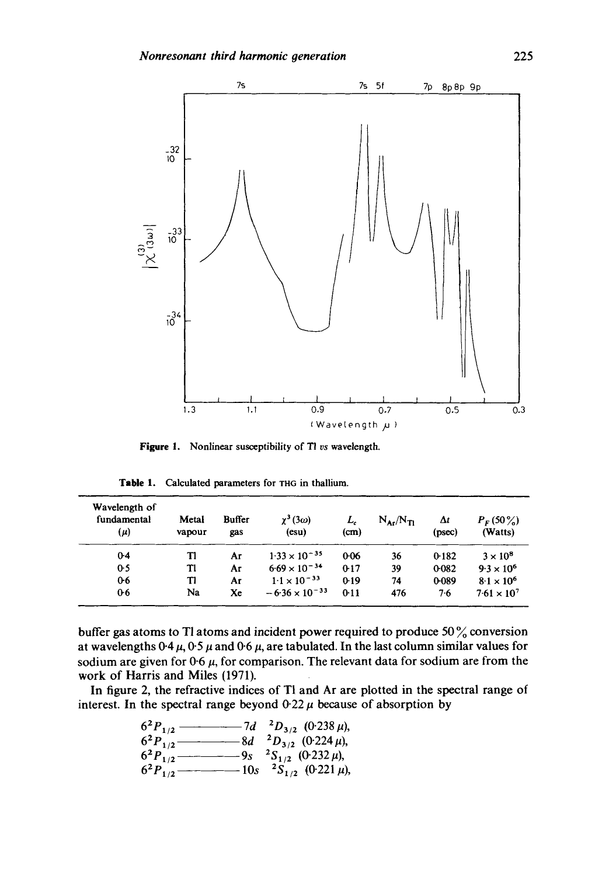

**Figure 1.**  Nonlinear susceptibility of T! *vs* wavelength.

| Table 1. | Calculated parameters for THG in thallium. |  |  |
|----------|--------------------------------------------|--|--|
|          |                                            |  |  |

| Wavelength of<br>fundamental<br>(μ) | Metal<br>vapour | <b>Buffer</b><br>gas | $\chi^3(3\omega)$<br>$(\mathbf{esu})$ | L,<br>(cm) | $N_{\rm A}N_{\rm T}$ | Δt<br>(psec) | $P_F(50\%)$<br>(Watts) |
|-------------------------------------|-----------------|----------------------|---------------------------------------|------------|----------------------|--------------|------------------------|
| $0-4$                               | Tl              | Ar                   | $1.33 \times 10^{-35}$                | $0-06$     | 36                   | 0.182        | $3 \times 10^8$        |
| 0.5                                 | Tl              | Aг                   | $6.69 \times 10^{-34}$                | $0-17$     | 39                   | 0.082        | $9.3 \times 10^{6}$    |
| 0.6                                 | TI              | Aг                   | $1.1 \times 10^{-33}$                 | 0.19       | 74                   | 0.089        | $8.1 \times 10^{6}$    |
| 0 <sub>6</sub>                      | Na              | Xe                   | $-6.36 \times 10^{-33}$               | 0:11       | 476                  | 7.6          | $7.61 \times 10^{7}$   |

buffer gas atoms to TI atoms and incident power required to produce 50 % conversion at wavelengths  $0.4 \mu$ ,  $0.5 \mu$  and  $0.6 \mu$ , are tabulated. In the last column similar values for sodium are given for  $0.6~\mu$ , for comparison. The relevant data for sodium are from the work of Harris and Miles (1971).

In figure 2, the refractive indices of TI and Ar are plotted in the spectral range of interest. In the spectral range beyond  $0.22 \mu$  because of absorption by

$$
62P1/2 \t\t\t\t\t- 7d 2D3/2 (0.238  $\mu$ ),  
\n
$$
62P1/2 \t\t\t- 8d 2D3/2 (0.224  $\mu$ ),  
\n
$$
62P1/2 \t\t\t- 9s 2S1/2 (0.232  $\mu$ ),  
\n
$$
62P1/2 \t\t\t- 10s 2S1/2 (0.221  $\mu$ ),
$$
$$
$$
$$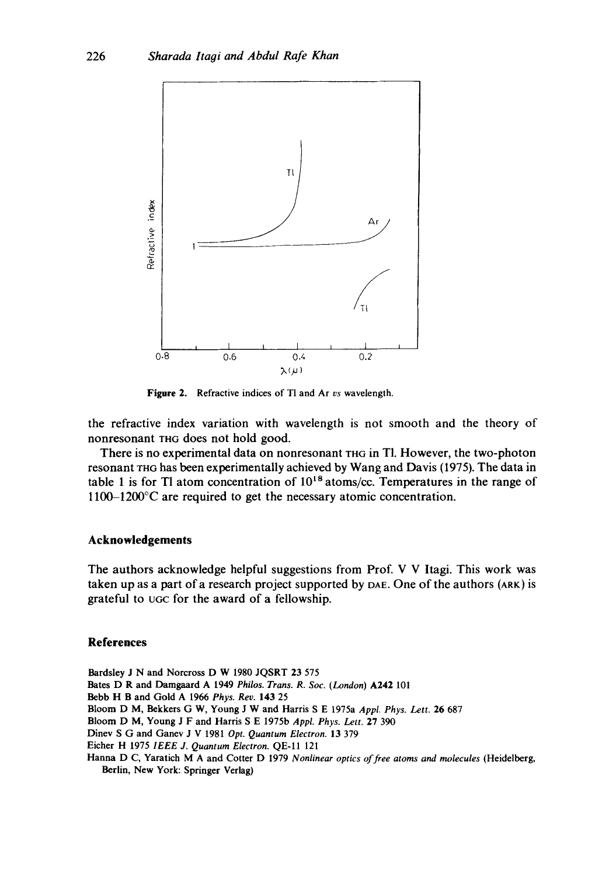

**Figure 2.**  Refractive indices of TI and Ar *vs* wavelength.

the refractive index variation with wavelength is not smooth and the theory of nonresonant THG does not hold good.

There is no experimental data on nonresonant THG in Tl. However, the two-photon resonant THG has been experimentally achieved by Wang and Davis (I975). The data in table 1 is for Tl atom concentration of  $10^{18}$  atoms/cc. Temperatures in the range of **1100-1200°C** are required to get the necessary atomic concentration.

# **Acknowledgements**

The authors acknowledge helpful suggestions from Prof. V V Itagi. This work was taken up as a part of a research project supported by  $DAE$ . One of the authors  $(ARK)$  is grateful to UGC for the award of a fellowship.

## **References**

Bardsley J N and Norcross D W 1980 JQSRT 23 575 Bates D R and Damgaard A 1949 *Philos. Trans. R. Soc. (London)* A242 101 Bebb H B and Gold A 1966 *Phys. Rev.* 143 25 Bloom D M, Bekkers G W, Young J W and Harris S E 1975a *Appl. Phys. Lett.* 26 687 Bloom D M, Young J F and Harris S E 1975b *Appl. Phys. Lett.* 27 390 Dinev S G and Ganev J V 1981 *Opt. Quantum Electron.* 13 379 Eicher H 1975 *IEEE J. Quantum Electron.* QE-I1 121 Hanna D C, Yaratich M A and Cotter D 1979 *Nonlinear optics of free atoms and molecules* (Heidelberg, Berlin, New York: Springer Verlag)